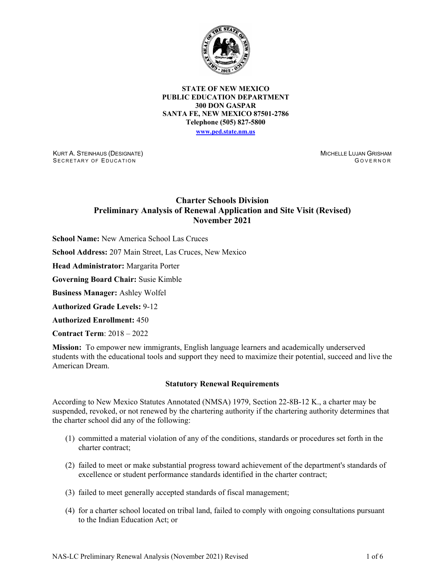

**STATE OF NEW MEXICO PUBLIC EDUCATION DEPARTMENT 300 DON GASPAR SANTA FE, NEW MEXICO 87501-2786 Telephone (505) 827-5800 [www.ped.state.nm.us](http://webnew.ped.state.nm.us/)**

KURT A. STEINHAUS (DESIGNATE) SECRETARY OF EDUCATION

MICHELLE LUJAN GRISHAM G OVERNOR

# **Charter Schools Division Preliminary Analysis of Renewal Application and Site Visit (Revised) November 2021**

**School Name:** New America School Las Cruces

**School Address:** 207 Main Street, Las Cruces, New Mexico

**Head Administrator:** Margarita Porter

**Governing Board Chair:** Susie Kimble

**Business Manager:** Ashley Wolfel

**Authorized Grade Levels:** 9-12

**Authorized Enrollment:** 450

**Contract Term**: 2018 – 2022

**Mission:** To empower new immigrants, English language learners and academically underserved students with the educational tools and support they need to maximize their potential, succeed and live the American Dream.

#### **Statutory Renewal Requirements**

According to New Mexico Statutes Annotated (NMSA) 1979, Section 22-8B-12 K., a charter may be suspended, revoked, or not renewed by the chartering authority if the chartering authority determines that the charter school did any of the following:

- (1) committed a material violation of any of the conditions, standards or procedures set forth in the charter contract;
- (2) failed to meet or make substantial progress toward achievement of the department's standards of excellence or student performance standards identified in the charter contract;
- (3) failed to meet generally accepted standards of fiscal management;
- (4) for a charter school located on tribal land, failed to comply with ongoing consultations pursuant to the Indian Education Act; or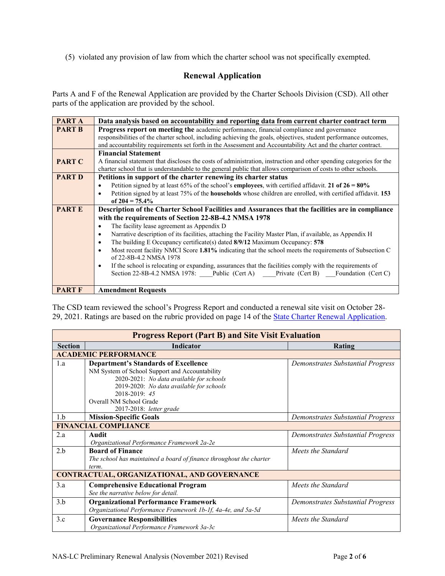(5) violated any provision of law from which the charter school was not specifically exempted.

## **Renewal Application**

Parts A and F of the Renewal Application are provided by the Charter Schools Division (CSD). All other parts of the application are provided by the school.

| PART A        | Data analysis based on accountability and reporting data from current charter contract term                                      |  |  |  |  |  |  |
|---------------|----------------------------------------------------------------------------------------------------------------------------------|--|--|--|--|--|--|
| <b>PART B</b> | <b>Progress report on meeting the academic performance, financial compliance and governance</b>                                  |  |  |  |  |  |  |
|               | responsibilities of the charter school, including achieving the goals, objectives, student performance outcomes,                 |  |  |  |  |  |  |
|               | and accountability requirements set forth in the Assessment and Accountability Act and the charter contract.                     |  |  |  |  |  |  |
|               | <b>Financial Statement</b>                                                                                                       |  |  |  |  |  |  |
| <b>PART C</b> | A financial statement that discloses the costs of administration, instruction and other spending categories for the              |  |  |  |  |  |  |
|               | charter school that is understandable to the general public that allows comparison of costs to other schools.                    |  |  |  |  |  |  |
| <b>PART D</b> | Petitions in support of the charter renewing its charter status                                                                  |  |  |  |  |  |  |
|               | Petition signed by at least 65% of the school's <b>employees</b> , with certified affidavit. 21 of $26 = 80\%$<br>$\bullet$      |  |  |  |  |  |  |
|               | Petition signed by at least 75% of the <b>households</b> whose children are enrolled, with certified affidavit. 153<br>$\bullet$ |  |  |  |  |  |  |
|               | of $204 = 75.4\%$                                                                                                                |  |  |  |  |  |  |
| <b>PARTE</b>  | Description of the Charter School Facilities and Assurances that the facilities are in compliance                                |  |  |  |  |  |  |
|               | with the requirements of Section 22-8B-4.2 NMSA 1978                                                                             |  |  |  |  |  |  |
|               | The facility lease agreement as Appendix D<br>$\bullet$                                                                          |  |  |  |  |  |  |
|               | Narrative description of its facilities, attaching the Facility Master Plan, if available, as Appendix H<br>$\bullet$            |  |  |  |  |  |  |
|               | The building E Occupancy certificate(s) dated 8/9/12 Maximum Occupancy: 578<br>٠                                                 |  |  |  |  |  |  |
|               | Most recent facility NMCI Score 1.81% indicating that the school meets the requirements of Subsection C<br>$\bullet$             |  |  |  |  |  |  |
|               | of 22-8B-4.2 NMSA 1978                                                                                                           |  |  |  |  |  |  |
|               | If the school is relocating or expanding, assurances that the facilities comply with the requirements of<br>$\bullet$            |  |  |  |  |  |  |
|               | Section 22-8B-4.2 NMSA 1978: Public (Cert A) Private (Cert B) Foundation (Cert C)                                                |  |  |  |  |  |  |
|               |                                                                                                                                  |  |  |  |  |  |  |
| <b>PART F</b> | <b>Amendment Requests</b>                                                                                                        |  |  |  |  |  |  |

The CSD team reviewed the school's Progress Report and conducted a renewal site visit on October 28- 29, 2021. Ratings are based on the rubric provided on page 14 of the [State Charter Renewal Application.](https://webnew.ped.state.nm.us/bureaus/public-education-commission/policies-and-processes/renewal-application/)

| <b>Progress Report (Part B) and Site Visit Evaluation</b> |                                                                                                                                                                                                                                   |                                   |  |  |  |  |  |  |
|-----------------------------------------------------------|-----------------------------------------------------------------------------------------------------------------------------------------------------------------------------------------------------------------------------------|-----------------------------------|--|--|--|--|--|--|
| <b>Section</b>                                            | <b>Indicator</b>                                                                                                                                                                                                                  | Rating                            |  |  |  |  |  |  |
|                                                           | <b>ACADEMIC PERFORMANCE</b>                                                                                                                                                                                                       |                                   |  |  |  |  |  |  |
| 1.a                                                       | <b>Department's Standards of Excellence</b><br>NM System of School Support and Accountability<br>2020-2021: No data available for schools<br>2019-2020: No data available for schools<br>2018-2019: 45<br>Overall NM School Grade | Demonstrates Substantial Progress |  |  |  |  |  |  |
| 1.b                                                       | 2017-2018: letter grade<br><b>Mission-Specific Goals</b>                                                                                                                                                                          | Demonstrates Substantial Progress |  |  |  |  |  |  |
|                                                           | <b>FINANCIAL COMPLIANCE</b>                                                                                                                                                                                                       |                                   |  |  |  |  |  |  |
| 2.a                                                       | Audit<br>Organizational Performance Framework 2a-2e                                                                                                                                                                               | Demonstrates Substantial Progress |  |  |  |  |  |  |
| 2.b                                                       | <b>Board of Finance</b><br>The school has maintained a board of finance throughout the charter<br>term.                                                                                                                           | Meets the Standard                |  |  |  |  |  |  |
|                                                           | <b>CONTRACTUAL, ORGANIZATIONAL, AND GOVERNANCE</b>                                                                                                                                                                                |                                   |  |  |  |  |  |  |
| 3.a                                                       | <b>Comprehensive Educational Program</b><br>See the narrative below for detail.                                                                                                                                                   | Meets the Standard                |  |  |  |  |  |  |
| 3.b                                                       | <b>Organizational Performance Framework</b><br>Organizational Performance Framework 1b-1f, 4a-4e, and 5a-5d                                                                                                                       | Demonstrates Substantial Progress |  |  |  |  |  |  |
| 3.c                                                       | <b>Governance Responsibilities</b><br>Organizational Performance Framework 3a-3c                                                                                                                                                  | Meets the Standard                |  |  |  |  |  |  |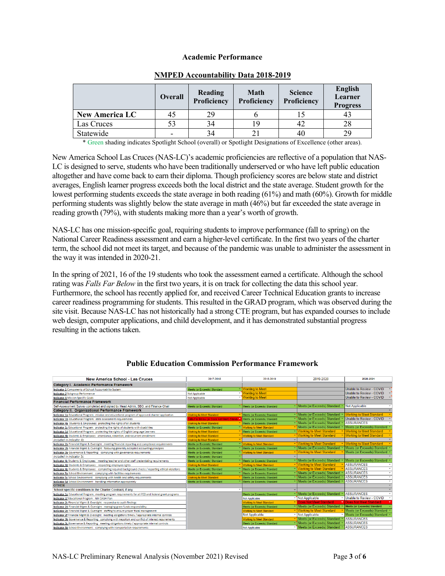#### **Academic Performance**

|                       | <b>Overall</b>           | Reading<br>Proficiency | Math<br>Proficiency | <b>Science</b><br>Proficiency | English<br>Learner<br><b>Progress</b> |  |
|-----------------------|--------------------------|------------------------|---------------------|-------------------------------|---------------------------------------|--|
| <b>New America LC</b> | 45                       | 29                     |                     |                               |                                       |  |
| Las Cruces            | 53                       | 34                     |                     |                               | 28                                    |  |
| Statewide             | $\overline{\phantom{0}}$ | 34                     |                     | 40                            | 29                                    |  |

## **NMPED Accountability Data 2018-2019**

\* Green shading indicates Spotlight School (overall) or Spotlight Designations of Excellence (other areas).

New America School Las Cruces (NAS-LC)'s academic proficiencies are reflective of a population that NAS-LC is designed to serve, students who have been traditionally underserved or who have left public education altogether and have come back to earn their diploma. Though proficiency scores are below state and district averages, English learner progress exceeds both the local district and the state average. Student growth for the lowest performing students exceeds the state average in both reading (61%) and math (60%). Growth for middle performing students was slightly below the state average in math (46%) but far exceeded the state average in reading growth (79%), with students making more than a year's worth of growth.

NAS-LC has one mission-specific goal, requiring students to improve performance (fall to spring) on the National Career Readiness assessment and earn a higher-level certificate. In the first two years of the charter term, the school did not meet its target, and because of the pandemic was unable to administer the assessment in the way it was intended in 2020-21.

In the spring of 2021, 16 of the 19 students who took the assessment earned a certificate. Although the school rating was *Falls Far Below* in the first two years, it is on track for collecting the data this school year. Furthermore, the school has recently applied for, and received Career Technical Education grants to increase career readiness programming for students. This resulted in the GRAD program, which was observed during the site visit. Because NAS-LC has not historically had a strong CTE program, but has expanded courses to include web design, computer applications, and child development, and it has demonstrated substantial progress resulting in the actions taken.

| <b>New America School - Las Cruces</b>                                                                  | 2017-2018                                 | 2018-2019                       | 2019-2020                       | 2020-2021                                     |
|---------------------------------------------------------------------------------------------------------|-------------------------------------------|---------------------------------|---------------------------------|-----------------------------------------------|
| Category I. Academic Performance Framework                                                              |                                           |                                 |                                 |                                               |
| Indicator 1 Components of School Accountability System                                                  | Meets (or Exceeds) Standard               | Vorking to Meet                 |                                 | Unable to Review - COVID                      |
| <b>Indicator 2 Subgroup Performance</b>                                                                 | <b>Not Applicable</b>                     | v Working to Meet               |                                 | Unable to Review - COVID                      |
| <b>Indicator 3 Mission Specific Goals</b>                                                               | <b>Not Applicable</b>                     | v Working to Meet               |                                 | Unable to Review - COVID                      |
| <b>Financial Performance Framework</b>                                                                  |                                           |                                 |                                 |                                               |
| Self-Assessment Survey completed and signed by Head Admin, SBO, and Finance Chair                       | Meets (or Exceeds) Standard               | Meets (or Exceeds) Standard     | Meets (or Exceeds) Standard     | <b>Not Applicable</b>                         |
| Category II. Organizational Performance Framework                                                       |                                           |                                 |                                 |                                               |
| Indicator 1a Educational Program: mission and educational program of approved charter application       | <b>Working to Meet Standard</b>           | Meets (or Exceeds) Standard     | Meets (or Exceeds) Standard     | <b>Norking to Meet Standard</b>               |
| Indicator 1b Educational Program: state assessment requirements                                         | Falls Far Below (or Does Not Meet) Standa | Meets (or Exceeds) Standard     | Meets (or Exceeds) Standard     | Unable to Review - COVID                      |
| Indicator 4a Students & Employees: protecting the rights of all students                                | Working to Meet Standard                  | Meets (or Exceeds) Standard     | Meets (or Exceeds) Standard     | <b>ASSURANCES</b>                             |
| Indicator 1c Educational Program: protecting the rights of students with disabilities                   | Meets (or Exceeds) Standard               | <b>Working to Meet Standard</b> | Meets (or Exceeds) Standard     | Meets (or Exceeds) Standard                   |
| Indicator 1d Educational Program: protecting the rights of English Language Learners                    | <b>Working to Meet Standard</b>           | Meets (or Exceeds) Standard     | <b>Working to Meet Standard</b> | <b>Working to Meet Standard</b>               |
| Indicator 4b Students & Employees: attendance, retention, and recurrent enrollment                      | Working to Meet Standard                  | <b>Norking to Meet Standard</b> | Vorking to Meet Standard        | <b>Working to Meet Standard</b>               |
| Included in Indicator 4b                                                                                | <b>Working to Meet Standard</b>           |                                 |                                 |                                               |
| Indicator 2a Financial Mgmt & Oversight: meeting financial reporting and compliance requirements        | Meets (or Exceeds) Standard               | <b>Working to Meet Standard</b> | Vorking to Meet Standard        | <b>Working to Meet Standard</b>               |
| Indicator 2b Financial Mgmt & Oversight: following generally accepted accounting principles             | Meets (or Exceeds) Standard               | Meets (or Exceeds) Standard     | Meets (or Exceeds) Standard     | Meets (or Exceeds) Standard                   |
| Indicator 3a Governance & Reporting: complying with governance requirements                             | Meets (or Exceeds) Standard               | Working to Meet Standard        | <b>Working to Meet Standard</b> | Meets (or Exceeds) Standard                   |
| Included in Indicator 3c                                                                                | Meets (or Exceeds) Standard               |                                 |                                 |                                               |
| Indicator 4c Students & Employees: meeting teacher and other staff credentialing requirements           | Meets (or Exceeds) Standard               | Meets (or Exceeds) Standard     | Meets (or Exceeds) Standard     | Meets (or Exceeds) Standard                   |
| Indicator 4d Students & Employees: respecting employee rights                                           | Working to Meet Standard                  | Working to Meet Standard        | Working to Meet Standard        | <b>ASSURANCES</b>                             |
| Indicator 4e Students & Employees: completing required background checks / reporting ethical violations | Meets (or Exceeds) Standard               | Meets (or Exceeds) Standard     | <b>Working to Meet Standard</b> | <b>ASSURANCES</b><br>$\overline{\phantom{a}}$ |
| Indicator 5a School Environment: complying with facilities requirements                                 | Meets (or Exceeds) Standard               | Meets (or Exceeds) Standard     | Meets (or Exceeds) Standard     | <b>ASSURANCES</b><br>$\overline{\phantom{a}}$ |
| Indicator Sc School Environment: complying with health and safety requirements                          | <b>Working to Meet Standard</b>           | Meets (or Exceeds) Standard     | Meets (or Exceeds) Standard     | <b>ASSURANCES</b><br>$\mathbf{v}$             |
| Indicator 5d School Environment: handling information appropiately                                      | Meets (or Exceeds) Standard               | Meets (or Exceeds) Standard     | Meets (or Exceeds) Standard     | <b>ASSURANCES</b><br>$\checkmark$             |
| <b>OTHER</b>                                                                                            |                                           |                                 |                                 |                                               |
| School specific conditions in the Charter Contract, if any                                              |                                           |                                 |                                 |                                               |
| Indicator 1e Educational Program: meeting program requirements for all PED and federal grant programs   |                                           | Meets (or Exceeds) Standard     | Meets (or Exceeds) Standard     | <b>ASSURANCES</b>                             |
| Indicator 1f Educational Program: NM DASH Plan                                                          |                                           | Not Applicable                  | Not Applicable                  | Unable to Review - COVID                      |
| Indicator 2c Financial Mgmt & Oversight: responsive to audit findings                                   |                                           | <b>Working to Meet Standard</b> | <b>Does Not Meet Standard</b>   | <b>Does Not Meet Standard</b>                 |
| Indicator 2d Financial Mgmt & Oversight: managing grant funds responsibility                            |                                           | Meets (or Exceeds) Standard     | Meets (or Exceeds) Standard     | <b>Meets (or Exceeds) Standard</b>            |
| Indicator 2e Financial Mgmt & Oversight: staffing to ensure proper fiscal management                    |                                           | <b>Working to Meet Standard</b> | Vorking to Meet Standard        | Meets (or Exceeds) Standard                   |
| Indicator 2f Financial Mgmt & Oversight: meeting obligations timely / appropriate internal controls     |                                           | Not Applicable                  | - Not Applicable                | Meets (or Exceeds) Standard                   |
| Indicator 3b Governance & Reporting: complying with nepotism and conflict of interest requirements      |                                           | Working to Meet Standard        | Meets (or Exceeds) Standard     | <b>ASSURANCES</b>                             |
| Indicator 3c Governance & Reporting: meeting obligations timely / appropriate internal controls         |                                           | Meets (or Exceeds) Standard     | Meets (or Exceeds) Standard     | <b>ASSURANCES</b>                             |
| Indicator 5b School Environment: complying with transportation requirements                             |                                           | Not Applicable                  | Meets (or Exceeds) Standard     | <b>ASSURANCES</b>                             |

#### **Public Education Commission Performance Framework**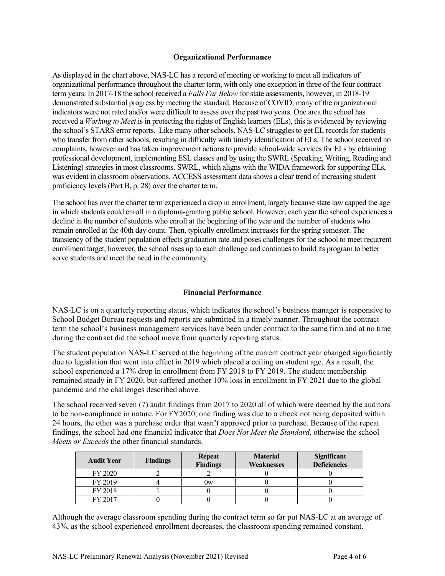### **Organizational Performance**

As displayed in the chart above, NAS-LC has a record of meeting or working to meet all indicators of organizational performance throughout the charter term, with only one exception in three of the four contract term years. In 2017-18 the school received a *Falls Far Below* for state assessments, however, in 2018-19 demonstrated substantial progress by meeting the standard. Because of COVID, many of the organizational indicators were not rated and/or were difficult to assess over the past two years. One area the school has received a *Working to Meet* is in protecting the rights of English learners (ELs), this is evidenced by reviewing the school's STARS error reports. Like many other schools, NAS-LC struggles to get EL records for students who transfer from other schools, resulting in difficulty with timely identification of ELs. The school received no complaints, however and has taken improvement actions to provide school-wide services for ELs by obtaining professional development, implementing ESL classes and by using the SWRL (Speaking, Writing, Reading and Listening) strategies in most classrooms. SWRL, which aligns with the WIDA framework for supporting ELs, was evident in classroom observations. ACCESS assessment data shows a clear trend of increasing student proficiency levels (Part B, p. 28) over the charter term.

The school has over the charter term experienced a drop in enrollment, largely because state law capped the age in which students could enroll in a diploma-granting public school. However, each year the school experiences a decline in the number of students who enroll at the beginning of the year and the number of students who remain enrolled at the 40th day count. Then, typically enrollment increases for the spring semester. The transiency of the student population effects graduation rate and poses challenges for the school to meet recurrent enrollment target, however, the school rises up to each challenge and continues to build its program to better serve students and meet the need in the community.

## **Financial Performance**

NAS-LC is on a quarterly reporting status, which indicates the school's business manager is responsive to School Budget Bureau requests and reports are submitted in a timely manner. Throughout the contract term the school's business management services have been under contract to the same firm and at no time during the contract did the school move from quarterly reporting status.

The student population NAS-LC served at the beginning of the current contract year changed significantly due to legislation that went into effect in 2019 which placed a ceiling on student age. As a result, the school experienced a 17% drop in enrollment from FY 2018 to FY 2019. The student membership remained steady in FY 2020, but suffered another 10% loss in enrollment in FY 2021 due to the global pandemic and the challenges described above.

The school received seven (7) audit findings from 2017 to 2020 all of which were deemed by the auditors to be non-compliance in nature. For FY2020, one finding was due to a check not being deposited within 24 hours, the other was a purchase order that wasn't approved prior to purchase. Because of the repeat findings, the school had one financial indicator that *Does Not Meet the Standard*, otherwise the school *Meets or Exceeds* the other financial standards.

| <b>Audit Year</b> | <b>Findings</b> | <b>Repeat</b><br><b>Findings</b> | <b>Material</b><br><b>Weaknesses</b> | Significant<br><b>Deficiencies</b> |
|-------------------|-----------------|----------------------------------|--------------------------------------|------------------------------------|
| FY 2020           |                 |                                  |                                      |                                    |
| FY 2019           |                 | 0w                               |                                      |                                    |
| FY 2018           |                 |                                  |                                      |                                    |
| FY 2017           |                 |                                  |                                      |                                    |

Although the average classroom spending during the contract term so far put NAS-LC at an average of 43%, as the school experienced enrollment decreases, the classroom spending remained constant.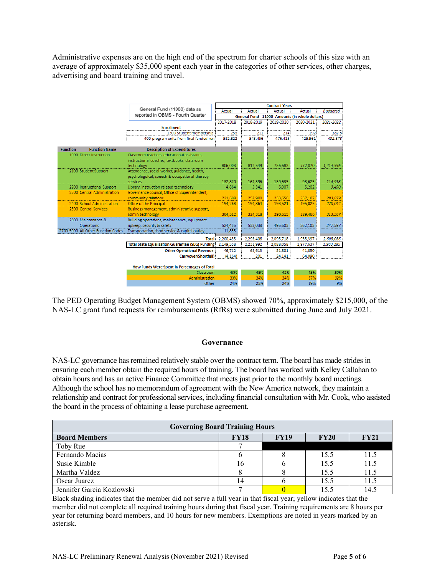Administrative expenses are on the high end of the spectrum for charter schools of this size with an average of approximately \$35,000 spent each year in the categories of other services, other charges, advertising and board training and travel.

|                 |                                    |                                                          | <b>Contract Years</b>               |           |                                                  |           |                 |
|-----------------|------------------------------------|----------------------------------------------------------|-------------------------------------|-----------|--------------------------------------------------|-----------|-----------------|
|                 |                                    | General Fund (11000) data as                             | Actual                              | Actual    | Actual                                           | Actual    | <b>Budgeted</b> |
|                 |                                    | reported in OBMS - Fourth Quarter                        | 2017-2018<br>2018-2019              |           | General Fund - 11000- Amounts (in whole dollars) |           |                 |
|                 |                                    |                                                          |                                     |           | 2019-2020                                        | 2020-2021 | 2021-2022       |
|                 |                                    | <b>Enrollment</b>                                        |                                     |           |                                                  |           |                 |
|                 |                                    | 120D Student membership                                  | 253                                 | 211       | 214                                              | 192       | 182.5           |
|                 |                                    | 40D program units from final funded run                  | 532.822                             | 543.456   | 476.415                                          | 425.561   | 402.873         |
|                 |                                    |                                                          |                                     |           |                                                  |           |                 |
| <b>Function</b> | <b>Function Name</b>               | <b>Description of Expenditures</b>                       |                                     |           |                                                  |           |                 |
|                 | 1000 Direct Instruction            | Classroom teachers, educational assistants,              |                                     |           |                                                  |           |                 |
|                 |                                    | instructional coaches, textbooks, classroom              |                                     |           |                                                  |           |                 |
|                 |                                    | technology                                               | 806,003                             | 812.549   | 736,682                                          | 772,870   | 1,414,596       |
|                 | 2100 Student Support               | Attendance, social worker, guidance, health,             |                                     |           |                                                  |           |                 |
|                 |                                    | psychologoical, speech & occupational therapy            |                                     |           |                                                  |           |                 |
|                 |                                    | services                                                 | 132,870                             | 167,396   | 139,635                                          | 93,625    | 114,913         |
|                 | 2200 Instructional Support         | Library, instruction related technology                  | 4,864                               | 5.341     | 6.007                                            | 5.202     | 3,490           |
|                 | 2300 Central Administration        | Governance council, Office of Superintendent,            |                                     |           |                                                  |           |                 |
|                 |                                    | community relations                                      | 221,608                             | 257,900   | 233,656                                          | 237,107   | 293,879         |
|                 | 2400 School Administration         | Office of the Principal                                  | 194,268                             | 194,864   | 193,521                                          | 195,025   | 220.044         |
|                 | 2500 Central Services              | Business management, administrative support,             |                                     |           |                                                  |           |                 |
|                 |                                    | admin technology                                         | 304.512                             | 324,318   | 290,615                                          | 289,466   | 313,567         |
|                 | 2600 Maintenance &                 | Building operations, maintenance, equipment              |                                     |           |                                                  |           |                 |
|                 | Operations                         | upkeep, security & safety                                | 524,455                             | 533,038   | 495.603                                          | 362,103   | 247,597         |
|                 | 2700-5900 All Other Function Codes | Transportation, food service & capital outlay            | 11,855                              |           |                                                  |           |                 |
|                 |                                    | <b>Total</b>                                             | 2,200,435                           | 2,295,406 | 2,095,718                                        | 1,955,397 | 2,608,086       |
|                 |                                    | <b>Total State Equalization Guarantee (SEG) Funding:</b> | 2,149,558                           | 2,231,992 | 2,088,058                                        | 1,977,637 | 1,903,285       |
|                 |                                    | <b>Other Operational Revenue</b>                         | 46.712                              | 63.615    | 31.801                                           | 41.850    |                 |
|                 |                                    | Carryover(Shortfall)                                     | (4, 164)<br>24.141<br>64.090<br>201 |           |                                                  |           |                 |
|                 |                                    |                                                          |                                     |           |                                                  |           |                 |
|                 |                                    | How Funds Were Spent in Percentages of Total             |                                     |           |                                                  |           |                 |
|                 |                                    | Classroom                                                | 43%                                 | 43%       | 42%                                              | 45%       | 59%             |
|                 |                                    | Administration                                           | 33%                                 | 34%       | 34%                                              | 37%       | 32%             |
|                 |                                    | Other                                                    | 24%                                 | 23%       | 24%                                              | 19%       | 9%              |

The PED Operating Budget Management System (OBMS) showed 70%, approximately \$215,000, of the NAS-LC grant fund requests for reimbursements (RfRs) were submitted during June and July 2021.

#### **Governance**

NAS-LC governance has remained relatively stable over the contract term. The board has made strides in ensuring each member obtain the required hours of training. The board has worked with Kelley Callahan to obtain hours and has an active Finance Committee that meets just prior to the monthly board meetings. Although the school has no memorandum of agreement with the New America network, they maintain a relationship and contract for professional services, including financial consultation with Mr. Cook, who assisted the board in the process of obtaining a lease purchase agreement.

| <b>Governing Board Training Hours</b> |             |             |             |      |  |  |
|---------------------------------------|-------------|-------------|-------------|------|--|--|
| <b>Board Members</b>                  | <b>FY18</b> | <b>FY19</b> | <b>FY20</b> | FY21 |  |  |
| Toby Rue                              |             |             |             |      |  |  |
| Fernando Macias                       |             |             | 15.5        | 11.5 |  |  |
| Susie Kimble                          |             |             | 15.5        | 11.5 |  |  |
| Martha Valdez                         |             |             | 15.5        | 11.5 |  |  |
| Oscar Juarez                          |             |             | 15.5        | 11.5 |  |  |
| Jennifer Garcia Kozlowski             |             |             | 15.5        | 14.5 |  |  |

Black shading indicates that the member did not serve a full year in that fiscal year; yellow indicates that the member did not complete all required training hours during that fiscal year. Training requirements are 8 hours per year for returning board members, and 10 hours for new members. Exemptions are noted in years marked by an asterisk.